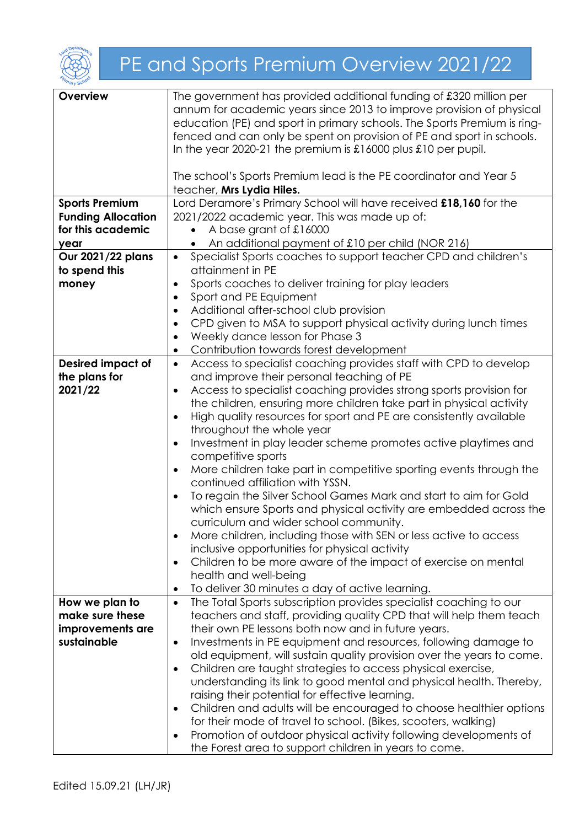

## PE and Sports Premium Overview 2021/22

| Overview                  | The government has provided additional funding of £320 million per<br>annum for academic years since 2013 to improve provision of physical<br>education (PE) and sport in primary schools. The Sports Premium is ring-<br>fenced and can only be spent on provision of PE and sport in schools.<br>In the year 2020-21 the premium is $\pounds16000$ plus $\pounds10$ per pupil.<br>The school's Sports Premium lead is the PE coordinator and Year 5<br>teacher, Mrs Lydia Hiles. |
|---------------------------|------------------------------------------------------------------------------------------------------------------------------------------------------------------------------------------------------------------------------------------------------------------------------------------------------------------------------------------------------------------------------------------------------------------------------------------------------------------------------------|
| <b>Sports Premium</b>     | Lord Deramore's Primary School will have received £18,160 for the                                                                                                                                                                                                                                                                                                                                                                                                                  |
| <b>Funding Allocation</b> | 2021/2022 academic year. This was made up of:                                                                                                                                                                                                                                                                                                                                                                                                                                      |
| for this academic         | A base grant of £16000                                                                                                                                                                                                                                                                                                                                                                                                                                                             |
| year                      | An additional payment of £10 per child (NOR 216)                                                                                                                                                                                                                                                                                                                                                                                                                                   |
|                           |                                                                                                                                                                                                                                                                                                                                                                                                                                                                                    |
| Our 2021/22 plans         | Specialist Sports coaches to support teacher CPD and children's<br>$\bullet$                                                                                                                                                                                                                                                                                                                                                                                                       |
| to spend this             | attainment in PE                                                                                                                                                                                                                                                                                                                                                                                                                                                                   |
| money                     | Sports coaches to deliver training for play leaders<br>$\bullet$                                                                                                                                                                                                                                                                                                                                                                                                                   |
|                           | Sport and PE Equipment<br>$\bullet$                                                                                                                                                                                                                                                                                                                                                                                                                                                |
|                           | Additional after-school club provision<br>$\bullet$                                                                                                                                                                                                                                                                                                                                                                                                                                |
|                           | CPD given to MSA to support physical activity during lunch times<br>$\bullet$                                                                                                                                                                                                                                                                                                                                                                                                      |
|                           | Weekly dance lesson for Phase 3<br>$\bullet$                                                                                                                                                                                                                                                                                                                                                                                                                                       |
|                           |                                                                                                                                                                                                                                                                                                                                                                                                                                                                                    |
|                           | Contribution towards forest development<br>$\bullet$                                                                                                                                                                                                                                                                                                                                                                                                                               |
| <b>Desired impact of</b>  | Access to specialist coaching provides staff with CPD to develop<br>$\bullet$                                                                                                                                                                                                                                                                                                                                                                                                      |
| the plans for             | and improve their personal teaching of PE                                                                                                                                                                                                                                                                                                                                                                                                                                          |
| 2021/22                   | Access to specialist coaching provides strong sports provision for<br>$\bullet$                                                                                                                                                                                                                                                                                                                                                                                                    |
|                           | the children, ensuring more children take part in physical activity                                                                                                                                                                                                                                                                                                                                                                                                                |
|                           | High quality resources for sport and PE are consistently available<br>$\bullet$                                                                                                                                                                                                                                                                                                                                                                                                    |
|                           | throughout the whole year                                                                                                                                                                                                                                                                                                                                                                                                                                                          |
|                           |                                                                                                                                                                                                                                                                                                                                                                                                                                                                                    |
|                           | Investment in play leader scheme promotes active playtimes and<br>$\bullet$                                                                                                                                                                                                                                                                                                                                                                                                        |
|                           | competitive sports                                                                                                                                                                                                                                                                                                                                                                                                                                                                 |
|                           | More children take part in competitive sporting events through the<br>$\bullet$<br>continued affiliation with YSSN.                                                                                                                                                                                                                                                                                                                                                                |
|                           |                                                                                                                                                                                                                                                                                                                                                                                                                                                                                    |
|                           | To regain the Silver School Games Mark and start to aim for Gold<br>$\bullet$                                                                                                                                                                                                                                                                                                                                                                                                      |
|                           | which ensure Sports and physical activity are embedded across the<br>curriculum and wider school community.                                                                                                                                                                                                                                                                                                                                                                        |
|                           | More children, including those with SEN or less active to access<br>$\bullet$                                                                                                                                                                                                                                                                                                                                                                                                      |
|                           | inclusive opportunities for physical activity                                                                                                                                                                                                                                                                                                                                                                                                                                      |
|                           |                                                                                                                                                                                                                                                                                                                                                                                                                                                                                    |
|                           | Children to be more aware of the impact of exercise on mental<br>٠                                                                                                                                                                                                                                                                                                                                                                                                                 |
|                           | health and well-being                                                                                                                                                                                                                                                                                                                                                                                                                                                              |
|                           | To deliver 30 minutes a day of active learning.<br>$\bullet$                                                                                                                                                                                                                                                                                                                                                                                                                       |
| How we plan to            | The Total Sports subscription provides specialist coaching to our<br>$\bullet$                                                                                                                                                                                                                                                                                                                                                                                                     |
| make sure these           | teachers and staff, providing quality CPD that will help them teach                                                                                                                                                                                                                                                                                                                                                                                                                |
| improvements are          | their own PE lessons both now and in future years.                                                                                                                                                                                                                                                                                                                                                                                                                                 |
| sustainable               | Investments in PE equipment and resources, following damage to                                                                                                                                                                                                                                                                                                                                                                                                                     |
|                           | $\bullet$                                                                                                                                                                                                                                                                                                                                                                                                                                                                          |
|                           | old equipment, will sustain quality provision over the years to come.                                                                                                                                                                                                                                                                                                                                                                                                              |
|                           | Children are taught strategies to access physical exercise,<br>٠                                                                                                                                                                                                                                                                                                                                                                                                                   |
|                           | understanding its link to good mental and physical health. Thereby,                                                                                                                                                                                                                                                                                                                                                                                                                |
|                           | raising their potential for effective learning.                                                                                                                                                                                                                                                                                                                                                                                                                                    |
|                           | Children and adults will be encouraged to choose healthier options<br>٠                                                                                                                                                                                                                                                                                                                                                                                                            |
|                           | for their mode of travel to school. (Bikes, scooters, walking)                                                                                                                                                                                                                                                                                                                                                                                                                     |
|                           | Promotion of outdoor physical activity following developments of                                                                                                                                                                                                                                                                                                                                                                                                                   |
|                           | ٠                                                                                                                                                                                                                                                                                                                                                                                                                                                                                  |
|                           | the Forest area to support children in years to come.                                                                                                                                                                                                                                                                                                                                                                                                                              |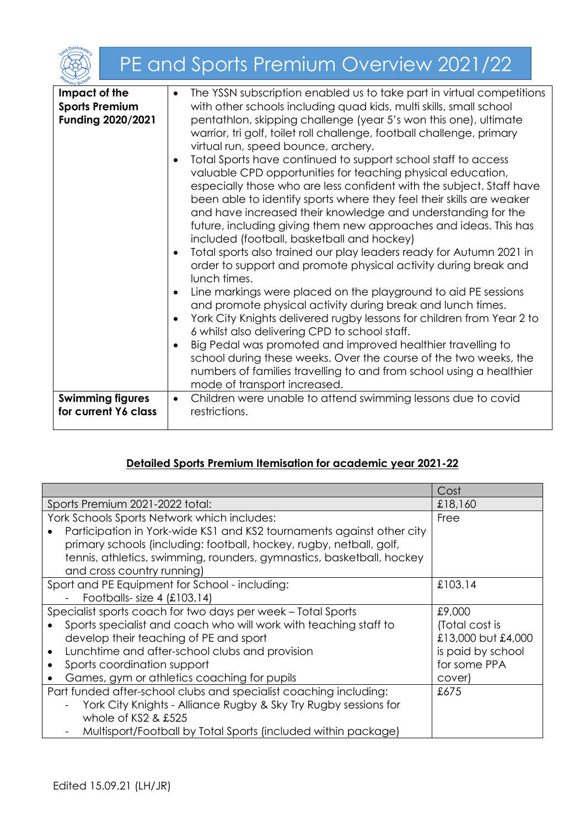|                                                             | PE and Sports Premium Overview 2021/22                                                                                                                                                                                                                                                                                                                                                                                                                                                                                                                                                                                                                                                                                                                                                                                                                                                                                                                                                                                                                                                                                                                                                                                                                                                                                                                                                                                                                                                                                            |
|-------------------------------------------------------------|-----------------------------------------------------------------------------------------------------------------------------------------------------------------------------------------------------------------------------------------------------------------------------------------------------------------------------------------------------------------------------------------------------------------------------------------------------------------------------------------------------------------------------------------------------------------------------------------------------------------------------------------------------------------------------------------------------------------------------------------------------------------------------------------------------------------------------------------------------------------------------------------------------------------------------------------------------------------------------------------------------------------------------------------------------------------------------------------------------------------------------------------------------------------------------------------------------------------------------------------------------------------------------------------------------------------------------------------------------------------------------------------------------------------------------------------------------------------------------------------------------------------------------------|
| Impact of the<br><b>Sports Premium</b><br>Funding 2020/2021 | The YSSN subscription enabled us to take part in virtual competitions<br>$\bullet$<br>with other schools including quad kids, multi skills, small school<br>pentathlon, skipping challenge (year 5's won this one), ultimate<br>warrior, tri golf, toilet roll challenge, football challenge, primary<br>virtual run, speed bounce, archery.<br>Total Sports have continued to support school staff to access<br>$\bullet$<br>valuable CPD opportunities for teaching physical education,<br>especially those who are less confident with the subject. Staff have<br>been able to identify sports where they feel their skills are weaker<br>and have increased their knowledge and understanding for the<br>future, including giving them new approaches and ideas. This has<br>included (football, basketball and hockey)<br>Total sports also trained our play leaders ready for Autumn 2021 in<br>$\bullet$<br>order to support and promote physical activity during break and<br>lunch times.<br>Line markings were placed on the playground to aid PE sessions<br>$\bullet$<br>and promote physical activity during break and lunch times.<br>York City Knights delivered rugby lessons for children from Year 2 to<br>$\bullet$<br>6 whilst also delivering CPD to school staff.<br>Big Pedal was promoted and improved healthier travelling to<br>school during these weeks. Over the course of the two weeks, the<br>numbers of families travelling to and from school using a healthier<br>mode of transport increased. |
| <b>Swimming figures</b><br>for current Y6 class             | Children were unable to attend swimming lessons due to covid<br>$\bullet$<br>restrictions.                                                                                                                                                                                                                                                                                                                                                                                                                                                                                                                                                                                                                                                                                                                                                                                                                                                                                                                                                                                                                                                                                                                                                                                                                                                                                                                                                                                                                                        |

## **Detailed Sports Premium Itemisation for academic year 2021-22**

|                                                                       | Cost               |
|-----------------------------------------------------------------------|--------------------|
| Sports Premium 2021-2022 total:                                       | £18,160            |
| York Schools Sports Network which includes:                           | Free               |
| Participation in York-wide KS1 and KS2 tournaments against other city |                    |
| primary schools (including: football, hockey, rugby, netball, golf,   |                    |
| tennis, athletics, swimming, rounders, gymnastics, basketball, hockey |                    |
| and cross country running)                                            |                    |
| Sport and PE Equipment for School - including:                        | £103.14            |
| Footballs-size 4 $(E103.14)$                                          |                    |
| Specialist sports coach for two days per week - Total Sports          | £9,000             |
| Sports specialist and coach who will work with teaching staff to      | (Total cost is     |
| develop their teaching of PE and sport                                | £13,000 but £4,000 |
| Lunchtime and after-school clubs and provision                        | is paid by school  |
| Sports coordination support                                           | for some PPA       |
| Games, gym or athletics coaching for pupils                           | cover)             |
| Part funded after-school clubs and specialist coaching including:     | £675               |
| York City Knights - Alliance Rugby & Sky Try Rugby sessions for       |                    |
| whole of KS2 & £525                                                   |                    |
| Multisport/Football by Total Sports (included within package)         |                    |